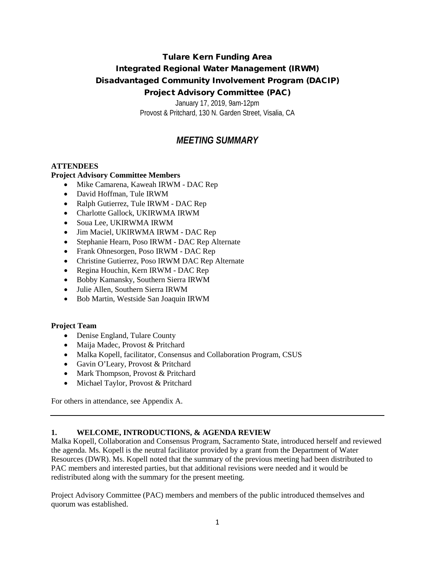# Tulare Kern Funding Area Integrated Regional Water Management (IRWM) Disadvantaged Community Involvement Program (DACIP) Project Advisory Committee (PAC)

January 17, 2019, 9am-12pm Provost & Pritchard, 130 N. Garden Street, Visalia, CA

# *MEETING SUMMARY*

### **ATTENDEES**

### **Project Advisory Committee Members**

- Mike Camarena, Kaweah IRWM DAC Rep
- David Hoffman, Tule IRWM
- Ralph Gutierrez, Tule IRWM DAC Rep
- Charlotte Gallock, UKIRWMA IRWM
- Soua Lee, UKIRWMA IRWM
- Jim Maciel, UKIRWMA IRWM DAC Rep
- Stephanie Hearn, Poso IRWM DAC Rep Alternate
- Frank Ohnesorgen, Poso IRWM DAC Rep
- Christine Gutierrez, Poso IRWM DAC Rep Alternate
- Regina Houchin, Kern IRWM DAC Rep
- Bobby Kamansky, Southern Sierra IRWM
- Julie Allen, Southern Sierra IRWM
- Bob Martin, Westside San Joaquin IRWM

#### **Project Team**

- Denise England, Tulare County
- Maija Madec, Provost & Pritchard
- Malka Kopell, facilitator, Consensus and Collaboration Program, CSUS
- Gavin O'Leary, Provost & Pritchard
- Mark Thompson, Provost & Pritchard
- Michael Taylor, Provost & Pritchard

For others in attendance, see Appendix A.

#### **1. WELCOME, INTRODUCTIONS, & AGENDA REVIEW**

Malka Kopell, Collaboration and Consensus Program, Sacramento State, introduced herself and reviewed the agenda. Ms. Kopell is the neutral facilitator provided by a grant from the Department of Water Resources (DWR). Ms. Kopell noted that the summary of the previous meeting had been distributed to PAC members and interested parties, but that additional revisions were needed and it would be redistributed along with the summary for the present meeting.

Project Advisory Committee (PAC) members and members of the public introduced themselves and quorum was established.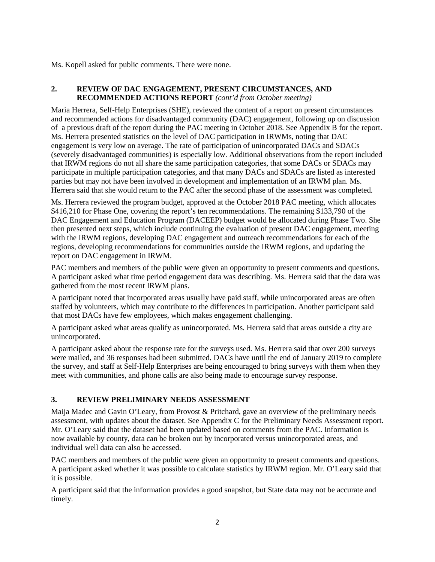Ms. Kopell asked for public comments. There were none.

### **2. REVIEW OF DAC ENGAGEMENT, PRESENT CIRCUMSTANCES, AND RECOMMENDED ACTIONS REPORT** *(cont'd from October meeting)*

Maria Herrera, Self-Help Enterprises (SHE), reviewed the content of a report on present circumstances and recommended actions for disadvantaged community (DAC) engagement, following up on discussion of a previous draft of the report during the PAC meeting in October 2018. See Appendix B for the report. Ms. Herrera presented statistics on the level of DAC participation in IRWMs, noting that DAC engagement is very low on average. The rate of participation of unincorporated DACs and SDACs (severely disadvantaged communities) is especially low. Additional observations from the report included that IRWM regions do not all share the same participation categories, that some DACs or SDACs may participate in multiple participation categories, and that many DACs and SDACs are listed as interested parties but may not have been involved in development and implementation of an IRWM plan. Ms. Herrera said that she would return to the PAC after the second phase of the assessment was completed.

Ms. Herrera reviewed the program budget, approved at the October 2018 PAC meeting, which allocates \$416,210 for Phase One, covering the report's ten recommendations. The remaining \$133,790 of the DAC Engagement and Education Program (DACEEP) budget would be allocated during Phase Two. She then presented next steps, which include continuing the evaluation of present DAC engagement, meeting with the IRWM regions, developing DAC engagement and outreach recommendations for each of the regions, developing recommendations for communities outside the IRWM regions, and updating the report on DAC engagement in IRWM.

PAC members and members of the public were given an opportunity to present comments and questions. A participant asked what time period engagement data was describing. Ms. Herrera said that the data was gathered from the most recent IRWM plans.

A participant noted that incorporated areas usually have paid staff, while unincorporated areas are often staffed by volunteers, which may contribute to the differences in participation. Another participant said that most DACs have few employees, which makes engagement challenging.

A participant asked what areas qualify as unincorporated. Ms. Herrera said that areas outside a city are unincorporated.

A participant asked about the response rate for the surveys used. Ms. Herrera said that over 200 surveys were mailed, and 36 responses had been submitted. DACs have until the end of January 2019 to complete the survey, and staff at Self-Help Enterprises are being encouraged to bring surveys with them when they meet with communities, and phone calls are also being made to encourage survey response.

# **3. REVIEW PRELIMINARY NEEDS ASSESSMENT**

Maija Madec and Gavin O'Leary, from Provost & Pritchard, gave an overview of the preliminary needs assessment, with updates about the dataset. See Appendix C for the Preliminary Needs Assessment report. Mr. O'Leary said that the dataset had been updated based on comments from the PAC. Information is now available by county, data can be broken out by incorporated versus unincorporated areas, and individual well data can also be accessed.

PAC members and members of the public were given an opportunity to present comments and questions. A participant asked whether it was possible to calculate statistics by IRWM region. Mr. O'Leary said that it is possible.

A participant said that the information provides a good snapshot, but State data may not be accurate and timely.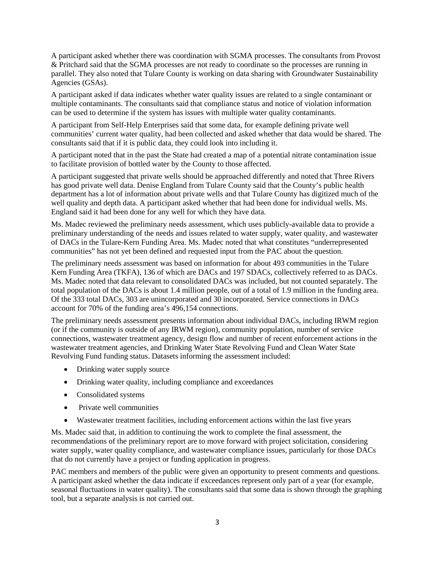A participant asked whether there was coordination with SGMA processes. The consultants from Provost & Pritchard said that the SGMA processes are not ready to coordinate so the processes are running in parallel. They also noted that Tulare County is working on data sharing with Groundwater Sustainability Agencies (GSAs).

A participant asked if data indicates whether water quality issues are related to a single contaminant or multiple contaminants. The consultants said that compliance status and notice of violation information can be used to determine if the system has issues with multiple water quality contaminants.

A participant from Self-Help Enterprises said that some data, for example defining private well communities' current water quality, had been collected and asked whether that data would be shared. The consultants said that if it is public data, they could look into including it.

A participant noted that in the past the State had created a map of a potential nitrate contamination issue to facilitate provision of bottled water by the County to those affected.

A participant suggested that private wells should be approached differently and noted that Three Rivers has good private well data. Denise England from Tulare County said that the County's public health department has a lot of information about private wells and that Tulare County has digitized much of the well quality and depth data. A participant asked whether that had been done for individual wells. Ms. England said it had been done for any well for which they have data.

Ms. Madec reviewed the preliminary needs assessment, which uses publicly-available data to provide a preliminary understanding of the needs and issues related to water supply, water quality, and wastewater of DACs in the Tulare-Kern Funding Area. Ms. Madec noted that what constitutes "underrepresented communities" has not yet been defined and requested input from the PAC about the question.

The preliminary needs assessment was based on information for about 493 communities in the Tulare Kern Funding Area (TKFA), 136 of which are DACs and 197 SDACs, collectively referred to as DACs. Ms. Madec noted that data relevant to consolidated DACs was included, but not counted separately. The total population of the DACs is about 1.4 million people, out of a total of 1.9 million in the funding area. Of the 333 total DACs, 303 are unincorporated and 30 incorporated. Service connections in DACs account for 70% of the funding area's 496,154 connections.

The preliminary needs assessment presents information about individual DACs, including IRWM region (or if the community is outside of any IRWM region), community population, number of service connections, wastewater treatment agency, design flow and number of recent enforcement actions in the wastewater treatment agencies, and Drinking Water State Revolving Fund and Clean Water State Revolving Fund funding status. Datasets informing the assessment included:

- Drinking water supply source
- Drinking water quality, including compliance and exceedances
- Consolidated systems
- Private well communities
- Wastewater treatment facilities, including enforcement actions within the last five years

Ms. Madec said that, in addition to continuing the work to complete the final assessment, the recommendations of the preliminary report are to move forward with project solicitation, considering water supply, water quality compliance, and wastewater compliance issues, particularly for those DACs that do not currently have a project or funding application in progress.

PAC members and members of the public were given an opportunity to present comments and questions. A participant asked whether the data indicate if exceedances represent only part of a year (for example, seasonal fluctuations in water quality). The consultants said that some data is shown through the graphing tool, but a separate analysis is not carried out.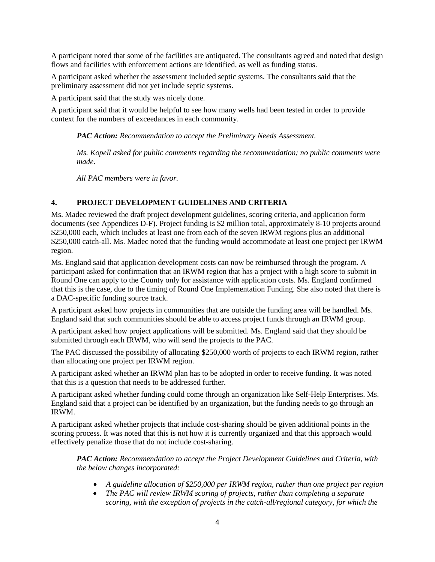A participant noted that some of the facilities are antiquated. The consultants agreed and noted that design flows and facilities with enforcement actions are identified, as well as funding status.

A participant asked whether the assessment included septic systems. The consultants said that the preliminary assessment did not yet include septic systems.

A participant said that the study was nicely done.

A participant said that it would be helpful to see how many wells had been tested in order to provide context for the numbers of exceedances in each community.

*PAC Action: Recommendation to accept the Preliminary Needs Assessment.* 

*Ms. Kopell asked for public comments regarding the recommendation; no public comments were made.*

*All PAC members were in favor.* 

### **4. PROJECT DEVELOPMENT GUIDELINES AND CRITERIA**

Ms. Madec reviewed the draft project development guidelines, scoring criteria, and application form documents (see Appendices D-F). Project funding is \$2 million total, approximately 8-10 projects around \$250,000 each, which includes at least one from each of the seven IRWM regions plus an additional \$250,000 catch-all. Ms. Madec noted that the funding would accommodate at least one project per IRWM region.

Ms. England said that application development costs can now be reimbursed through the program. A participant asked for confirmation that an IRWM region that has a project with a high score to submit in Round One can apply to the County only for assistance with application costs. Ms. England confirmed that this is the case, due to the timing of Round One Implementation Funding. She also noted that there is a DAC-specific funding source track.

A participant asked how projects in communities that are outside the funding area will be handled. Ms. England said that such communities should be able to access project funds through an IRWM group.

A participant asked how project applications will be submitted. Ms. England said that they should be submitted through each IRWM, who will send the projects to the PAC.

The PAC discussed the possibility of allocating \$250,000 worth of projects to each IRWM region, rather than allocating one project per IRWM region.

A participant asked whether an IRWM plan has to be adopted in order to receive funding. It was noted that this is a question that needs to be addressed further.

A participant asked whether funding could come through an organization like Self-Help Enterprises. Ms. England said that a project can be identified by an organization, but the funding needs to go through an IRWM.

A participant asked whether projects that include cost-sharing should be given additional points in the scoring process. It was noted that this is not how it is currently organized and that this approach would effectively penalize those that do not include cost-sharing.

*PAC Action: Recommendation to accept the Project Development Guidelines and Criteria, with the below changes incorporated:* 

- *A guideline allocation of \$250,000 per IRWM region, rather than one project per region*
- *The PAC will review IRWM scoring of projects, rather than completing a separate scoring, with the exception of projects in the catch-all/regional category, for which the*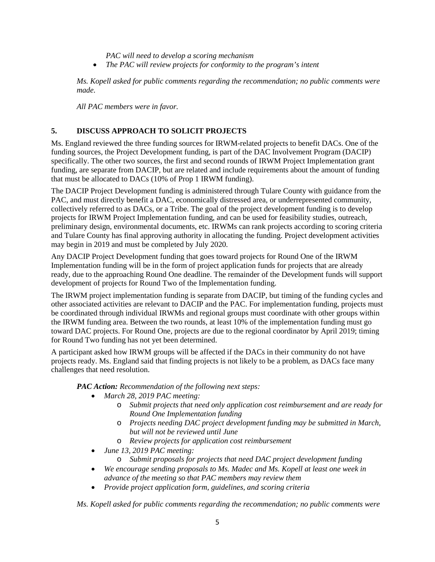*PAC will need to develop a scoring mechanism*

• *The PAC will review projects for conformity to the program's intent*

*Ms. Kopell asked for public comments regarding the recommendation; no public comments were made.*

*All PAC members were in favor.*

## **5. DISCUSS APPROACH TO SOLICIT PROJECTS**

Ms. England reviewed the three funding sources for IRWM-related projects to benefit DACs. One of the funding sources, the Project Development funding, is part of the DAC Involvement Program (DACIP) specifically. The other two sources, the first and second rounds of IRWM Project Implementation grant funding, are separate from DACIP, but are related and include requirements about the amount of funding that must be allocated to DACs (10% of Prop 1 IRWM funding).

The DACIP Project Development funding is administered through Tulare County with guidance from the PAC, and must directly benefit a DAC, economically distressed area, or underrepresented community, collectively referred to as DACs, or a Tribe. The goal of the project development funding is to develop projects for IRWM Project Implementation funding, and can be used for feasibility studies, outreach, preliminary design, environmental documents, etc. IRWMs can rank projects according to scoring criteria and Tulare County has final approving authority in allocating the funding. Project development activities may begin in 2019 and must be completed by July 2020.

Any DACIP Project Development funding that goes toward projects for Round One of the IRWM Implementation funding will be in the form of project application funds for projects that are already ready, due to the approaching Round One deadline. The remainder of the Development funds will support development of projects for Round Two of the Implementation funding.

The IRWM project implementation funding is separate from DACIP, but timing of the funding cycles and other associated activities are relevant to DACIP and the PAC. For implementation funding, projects must be coordinated through individual IRWMs and regional groups must coordinate with other groups within the IRWM funding area. Between the two rounds, at least 10% of the implementation funding must go toward DAC projects. For Round One, projects are due to the regional coordinator by April 2019; timing for Round Two funding has not yet been determined.

A participant asked how IRWM groups will be affected if the DACs in their community do not have projects ready. Ms. England said that finding projects is not likely to be a problem, as DACs face many challenges that need resolution.

*PAC Action: Recommendation of the following next steps:*

- *March 28, 2019 PAC meeting:*
	- o *Submit projects that need only application cost reimbursement and are ready for Round One Implementation funding*
	- o *Projects needing DAC project development funding may be submitted in March, but will not be reviewed until June*
	- o *Review projects for application cost reimbursement*
- *June 13, 2019 PAC meeting:* 
	- o *Submit proposals for projects that need DAC project development funding*
- *We encourage sending proposals to Ms. Madec and Ms. Kopell at least one week in advance of the meeting so that PAC members may review them*
- *Provide project application form, guidelines, and scoring criteria*

*Ms. Kopell asked for public comments regarding the recommendation; no public comments were*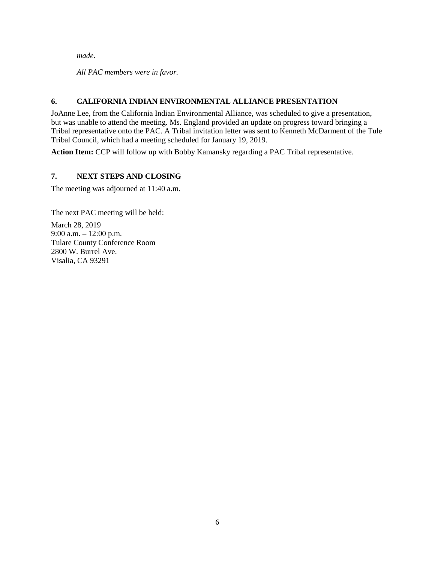*made.*

*All PAC members were in favor.*

# **6. CALIFORNIA INDIAN ENVIRONMENTAL ALLIANCE PRESENTATION**

JoAnne Lee, from the California Indian Environmental Alliance, was scheduled to give a presentation, but was unable to attend the meeting. Ms. England provided an update on progress toward bringing a Tribal representative onto the PAC. A Tribal invitation letter was sent to Kenneth McDarment of the Tule Tribal Council, which had a meeting scheduled for January 19, 2019.

**Action Item:** CCP will follow up with Bobby Kamansky regarding a PAC Tribal representative.

### **7. NEXT STEPS AND CLOSING**

The meeting was adjourned at 11:40 a.m.

The next PAC meeting will be held: March 28, 2019 9:00 a.m. – 12:00 p.m. Tulare County Conference Room 2800 W. Burrel Ave. Visalia, CA 93291